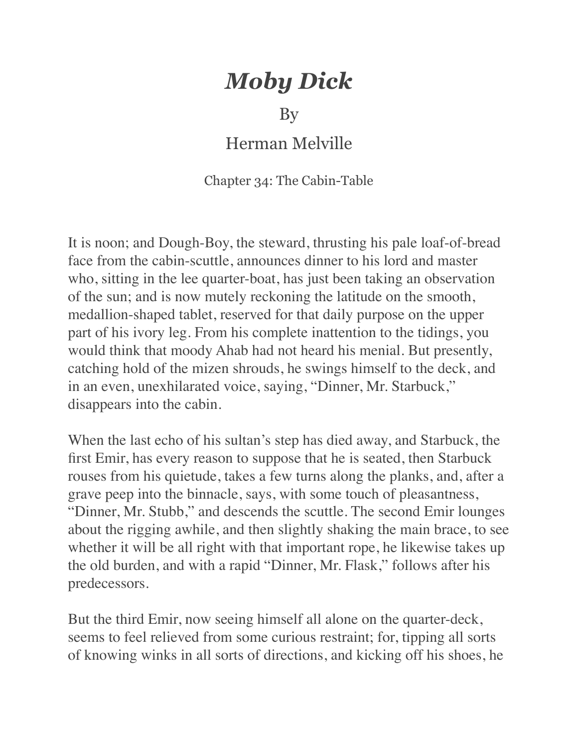## *Moby Dick*

By

## Herman Melville

Chapter 34: The Cabin-Table

It is noon; and Dough-Boy, the steward, thrusting his pale loaf-of-bread face from the cabin-scuttle, announces dinner to his lord and master who, sitting in the lee quarter-boat, has just been taking an observation of the sun; and is now mutely reckoning the latitude on the smooth, medallion-shaped tablet, reserved for that daily purpose on the upper part of his ivory leg. From his complete inattention to the tidings, you would think that moody Ahab had not heard his menial. But presently, catching hold of the mizen shrouds, he swings himself to the deck, and in an even, unexhilarated voice, saying, "Dinner, Mr. Starbuck," disappears into the cabin.

When the last echo of his sultan's step has died away, and Starbuck, the first Emir, has every reason to suppose that he is seated, then Starbuck rouses from his quietude, takes a few turns along the planks, and, after a grave peep into the binnacle, says, with some touch of pleasantness, "Dinner, Mr. Stubb," and descends the scuttle. The second Emir lounges about the rigging awhile, and then slightly shaking the main brace, to see whether it will be all right with that important rope, he likewise takes up the old burden, and with a rapid "Dinner, Mr. Flask," follows after his predecessors.

But the third Emir, now seeing himself all alone on the quarter-deck, seems to feel relieved from some curious restraint; for, tipping all sorts of knowing winks in all sorts of directions, and kicking off his shoes, he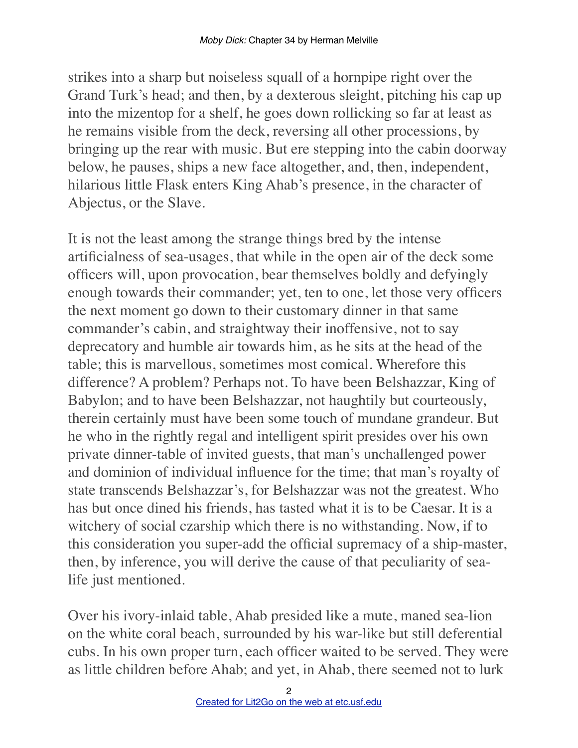strikes into a sharp but noiseless squall of a hornpipe right over the Grand Turk's head; and then, by a dexterous sleight, pitching his cap up into the mizentop for a shelf, he goes down rollicking so far at least as he remains visible from the deck, reversing all other processions, by bringing up the rear with music. But ere stepping into the cabin doorway below, he pauses, ships a new face altogether, and, then, independent, hilarious little Flask enters King Ahab's presence, in the character of Abjectus, or the Slave.

It is not the least among the strange things bred by the intense artificialness of sea-usages, that while in the open air of the deck some officers will, upon provocation, bear themselves boldly and defyingly enough towards their commander; yet, ten to one, let those very officers the next moment go down to their customary dinner in that same commander's cabin, and straightway their inoffensive, not to say deprecatory and humble air towards him, as he sits at the head of the table; this is marvellous, sometimes most comical. Wherefore this difference? A problem? Perhaps not. To have been Belshazzar, King of Babylon; and to have been Belshazzar, not haughtily but courteously, therein certainly must have been some touch of mundane grandeur. But he who in the rightly regal and intelligent spirit presides over his own private dinner-table of invited guests, that man's unchallenged power and dominion of individual influence for the time; that man's royalty of state transcends Belshazzar's, for Belshazzar was not the greatest. Who has but once dined his friends, has tasted what it is to be Caesar. It is a witchery of social czarship which there is no withstanding. Now, if to this consideration you super-add the official supremacy of a ship-master, then, by inference, you will derive the cause of that peculiarity of sealife just mentioned.

Over his ivory-inlaid table, Ahab presided like a mute, maned sea-lion on the white coral beach, surrounded by his war-like but still deferential cubs. In his own proper turn, each officer waited to be served. They were as little children before Ahab; and yet, in Ahab, there seemed not to lurk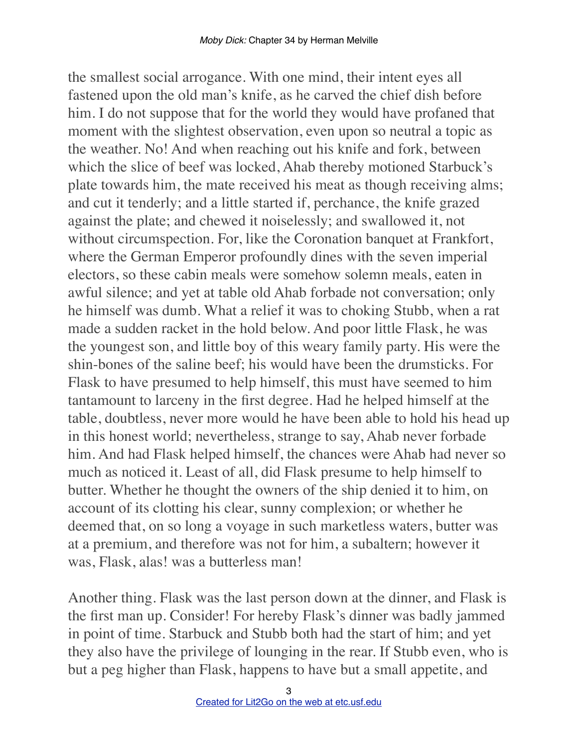the smallest social arrogance. With one mind, their intent eyes all fastened upon the old man's knife, as he carved the chief dish before him. I do not suppose that for the world they would have profaned that moment with the slightest observation, even upon so neutral a topic as the weather. No! And when reaching out his knife and fork, between which the slice of beef was locked, Ahab thereby motioned Starbuck's plate towards him, the mate received his meat as though receiving alms; and cut it tenderly; and a little started if, perchance, the knife grazed against the plate; and chewed it noiselessly; and swallowed it, not without circumspection. For, like the Coronation banquet at Frankfort, where the German Emperor profoundly dines with the seven imperial electors, so these cabin meals were somehow solemn meals, eaten in awful silence; and yet at table old Ahab forbade not conversation; only he himself was dumb. What a relief it was to choking Stubb, when a rat made a sudden racket in the hold below. And poor little Flask, he was the youngest son, and little boy of this weary family party. His were the shin-bones of the saline beef; his would have been the drumsticks. For Flask to have presumed to help himself, this must have seemed to him tantamount to larceny in the first degree. Had he helped himself at the table, doubtless, never more would he have been able to hold his head up in this honest world; nevertheless, strange to say, Ahab never forbade him. And had Flask helped himself, the chances were Ahab had never so much as noticed it. Least of all, did Flask presume to help himself to butter. Whether he thought the owners of the ship denied it to him, on account of its clotting his clear, sunny complexion; or whether he deemed that, on so long a voyage in such marketless waters, butter was at a premium, and therefore was not for him, a subaltern; however it was, Flask, alas! was a butterless man!

Another thing. Flask was the last person down at the dinner, and Flask is the first man up. Consider! For hereby Flask's dinner was badly jammed in point of time. Starbuck and Stubb both had the start of him; and yet they also have the privilege of lounging in the rear. If Stubb even, who is but a peg higher than Flask, happens to have but a small appetite, and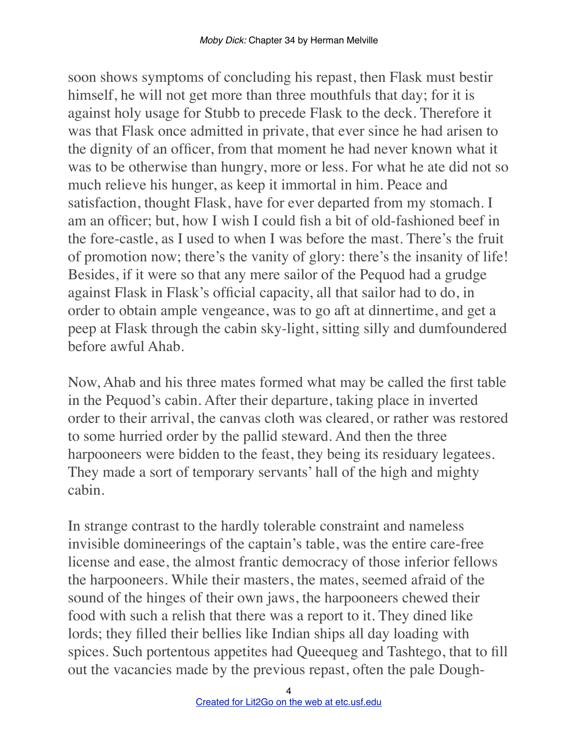soon shows symptoms of concluding his repast, then Flask must bestir himself, he will not get more than three mouthfuls that day; for it is against holy usage for Stubb to precede Flask to the deck. Therefore it was that Flask once admitted in private, that ever since he had arisen to the dignity of an officer, from that moment he had never known what it was to be otherwise than hungry, more or less. For what he ate did not so much relieve his hunger, as keep it immortal in him. Peace and satisfaction, thought Flask, have for ever departed from my stomach. I am an officer; but, how I wish I could fish a bit of old-fashioned beef in the fore-castle, as I used to when I was before the mast. There's the fruit of promotion now; there's the vanity of glory: there's the insanity of life! Besides, if it were so that any mere sailor of the Pequod had a grudge against Flask in Flask's official capacity, all that sailor had to do, in order to obtain ample vengeance, was to go aft at dinnertime, and get a peep at Flask through the cabin sky-light, sitting silly and dumfoundered before awful Ahab.

Now, Ahab and his three mates formed what may be called the first table in the Pequod's cabin. After their departure, taking place in inverted order to their arrival, the canvas cloth was cleared, or rather was restored to some hurried order by the pallid steward. And then the three harpooneers were bidden to the feast, they being its residuary legatees. They made a sort of temporary servants' hall of the high and mighty cabin.

In strange contrast to the hardly tolerable constraint and nameless invisible domineerings of the captain's table, was the entire care-free license and ease, the almost frantic democracy of those inferior fellows the harpooneers. While their masters, the mates, seemed afraid of the sound of the hinges of their own jaws, the harpooneers chewed their food with such a relish that there was a report to it. They dined like lords; they filled their bellies like Indian ships all day loading with spices. Such portentous appetites had Queequeg and Tashtego, that to fill out the vacancies made by the previous repast, often the pale Dough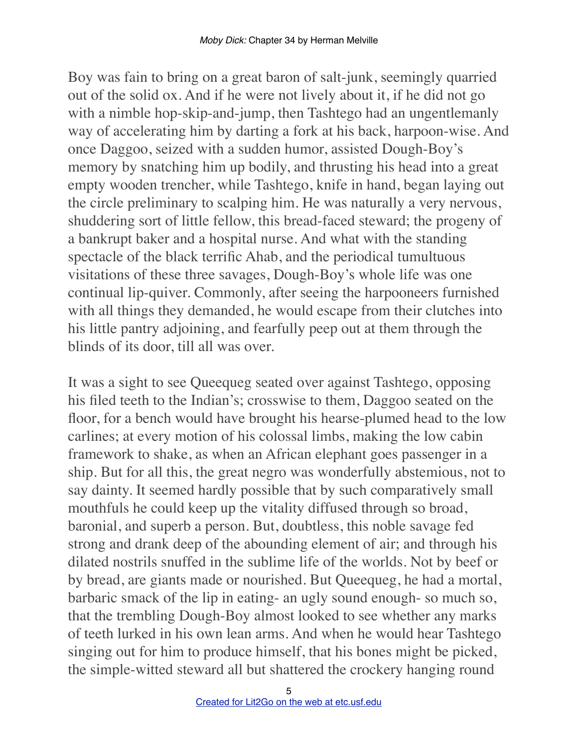Boy was fain to bring on a great baron of salt-junk, seemingly quarried out of the solid ox. And if he were not lively about it, if he did not go with a nimble hop-skip-and-jump, then Tashtego had an ungentlemanly way of accelerating him by darting a fork at his back, harpoon-wise. And once Daggoo, seized with a sudden humor, assisted Dough-Boy's memory by snatching him up bodily, and thrusting his head into a great empty wooden trencher, while Tashtego, knife in hand, began laying out the circle preliminary to scalping him. He was naturally a very nervous, shuddering sort of little fellow, this bread-faced steward; the progeny of a bankrupt baker and a hospital nurse. And what with the standing spectacle of the black terrific Ahab, and the periodical tumultuous visitations of these three savages, Dough-Boy's whole life was one continual lip-quiver. Commonly, after seeing the harpooneers furnished with all things they demanded, he would escape from their clutches into his little pantry adjoining, and fearfully peep out at them through the blinds of its door, till all was over.

It was a sight to see Queequeg seated over against Tashtego, opposing his filed teeth to the Indian's; crosswise to them, Daggoo seated on the floor, for a bench would have brought his hearse-plumed head to the low carlines; at every motion of his colossal limbs, making the low cabin framework to shake, as when an African elephant goes passenger in a ship. But for all this, the great negro was wonderfully abstemious, not to say dainty. It seemed hardly possible that by such comparatively small mouthfuls he could keep up the vitality diffused through so broad, baronial, and superb a person. But, doubtless, this noble savage fed strong and drank deep of the abounding element of air; and through his dilated nostrils snuffed in the sublime life of the worlds. Not by beef or by bread, are giants made or nourished. But Queequeg, he had a mortal, barbaric smack of the lip in eating- an ugly sound enough- so much so, that the trembling Dough-Boy almost looked to see whether any marks of teeth lurked in his own lean arms. And when he would hear Tashtego singing out for him to produce himself, that his bones might be picked, the simple-witted steward all but shattered the crockery hanging round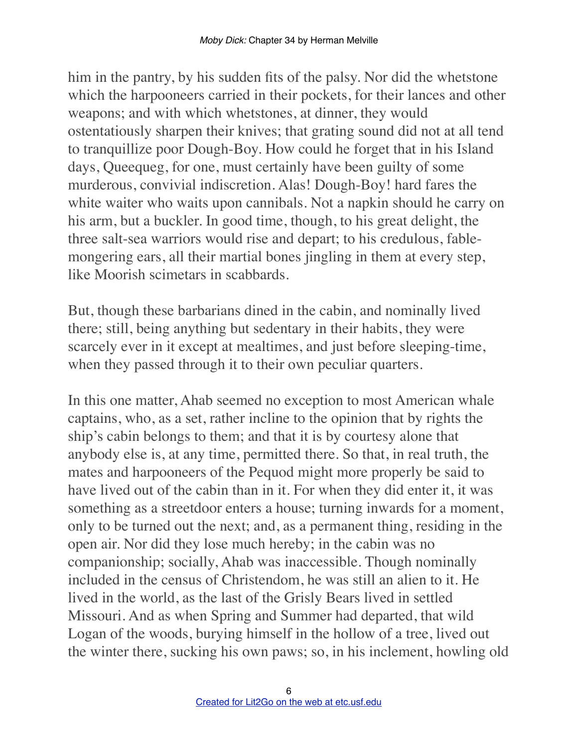him in the pantry, by his sudden fits of the palsy. Nor did the whetstone which the harpooneers carried in their pockets, for their lances and other weapons; and with which whetstones, at dinner, they would ostentatiously sharpen their knives; that grating sound did not at all tend to tranquillize poor Dough-Boy. How could he forget that in his Island days, Queequeg, for one, must certainly have been guilty of some murderous, convivial indiscretion. Alas! Dough-Boy! hard fares the white waiter who waits upon cannibals. Not a napkin should he carry on his arm, but a buckler. In good time, though, to his great delight, the three salt-sea warriors would rise and depart; to his credulous, fablemongering ears, all their martial bones jingling in them at every step, like Moorish scimetars in scabbards.

But, though these barbarians dined in the cabin, and nominally lived there; still, being anything but sedentary in their habits, they were scarcely ever in it except at mealtimes, and just before sleeping-time, when they passed through it to their own peculiar quarters.

In this one matter, Ahab seemed no exception to most American whale captains, who, as a set, rather incline to the opinion that by rights the ship's cabin belongs to them; and that it is by courtesy alone that anybody else is, at any time, permitted there. So that, in real truth, the mates and harpooneers of the Pequod might more properly be said to have lived out of the cabin than in it. For when they did enter it, it was something as a streetdoor enters a house; turning inwards for a moment, only to be turned out the next; and, as a permanent thing, residing in the open air. Nor did they lose much hereby; in the cabin was no companionship; socially, Ahab was inaccessible. Though nominally included in the census of Christendom, he was still an alien to it. He lived in the world, as the last of the Grisly Bears lived in settled Missouri. And as when Spring and Summer had departed, that wild Logan of the woods, burying himself in the hollow of a tree, lived out the winter there, sucking his own paws; so, in his inclement, howling old